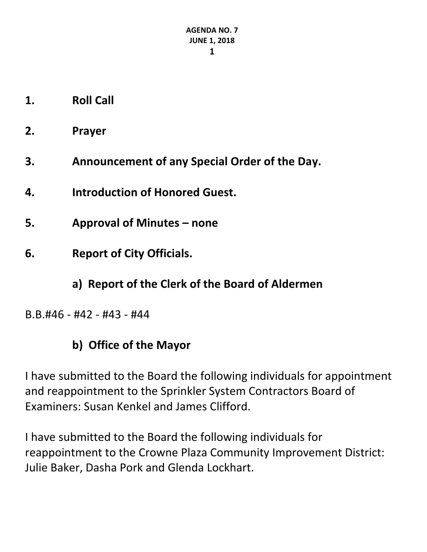- **1. Roll Call**
- **2. Prayer**
- **3. Announcement of any Special Order of the Day.**
- **4. Introduction of Honored Guest.**
- **5. Approval of Minutes – none**
- **6. Report of City Officials.**
	- **a) Report of the Clerk of the Board of Aldermen**
- B.B.#46 #42 #43 #44

### **b) Office of the Mayor**

I have submitted to the Board the following individuals for appointment and reappointment to the Sprinkler System Contractors Board of Examiners: Susan Kenkel and James Clifford.

I have submitted to the Board the following individuals for reappointment to the Crowne Plaza Community Improvement District: Julie Baker, Dasha Pork and Glenda Lockhart.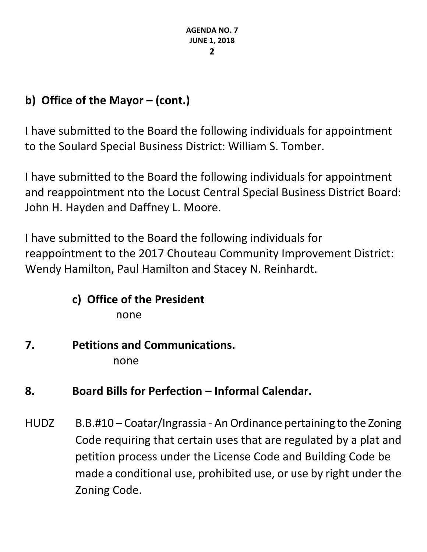# **b) Office of the Mayor – (cont.)**

I have submitted to the Board the following individuals for appointment to the Soulard Special Business District: William S. Tomber.

I have submitted to the Board the following individuals for appointment and reappointment nto the Locust Central Special Business District Board: John H. Hayden and Daffney L. Moore.

I have submitted to the Board the following individuals for reappointment to the 2017 Chouteau Community Improvement District: Wendy Hamilton, Paul Hamilton and Stacey N. Reinhardt.

# **c) Office of the President**

none

#### **7. Petitions and Communications.** none

# **8. Board Bills for Perfection – Informal Calendar.**

HUDZ B.B.#10 – Coatar/Ingrassia - An Ordinance pertaining to the Zoning Code requiring that certain uses that are regulated by a plat and petition process under the License Code and Building Code be made a conditional use, prohibited use, or use by right under the Zoning Code.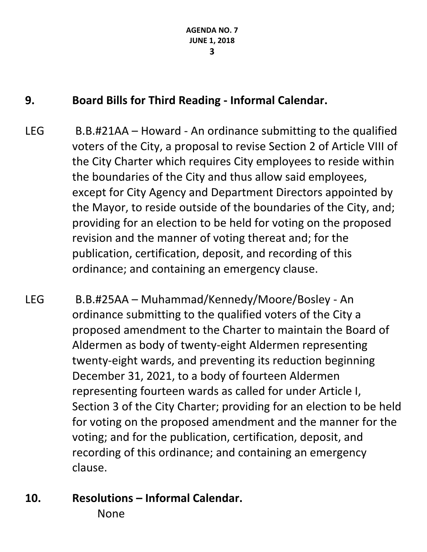## **9. Board Bills for Third Reading - Informal Calendar.**

- LEG B.B.#21AA Howard An ordinance submitting to the qualified voters of the City, a proposal to revise Section 2 of Article VIII of the City Charter which requires City employees to reside within the boundaries of the City and thus allow said employees, except for City Agency and Department Directors appointed by the Mayor, to reside outside of the boundaries of the City, and; providing for an election to be held for voting on the proposed revision and the manner of voting thereat and; for the publication, certification, deposit, and recording of this ordinance; and containing an emergency clause.
- LEG B.B.#25AA Muhammad/Kennedy/Moore/Bosley An ordinance submitting to the qualified voters of the City a proposed amendment to the Charter to maintain the Board of Aldermen as body of twenty-eight Aldermen representing twenty-eight wards, and preventing its reduction beginning December 31, 2021, to a body of fourteen Aldermen representing fourteen wards as called for under Article I, Section 3 of the City Charter; providing for an election to be held for voting on the proposed amendment and the manner for the voting; and for the publication, certification, deposit, and recording of this ordinance; and containing an emergency clause.
- **10. Resolutions – Informal Calendar.** None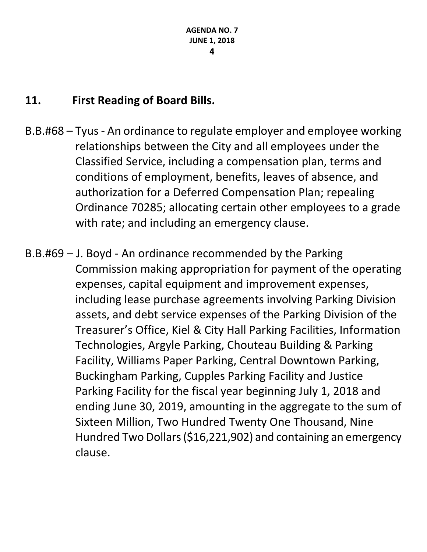### **11. First Reading of Board Bills.**

- B.B.#68 Tyus An ordinance to regulate employer and employee working relationships between the City and all employees under the Classified Service, including a compensation plan, terms and conditions of employment, benefits, leaves of absence, and authorization for a Deferred Compensation Plan; repealing Ordinance 70285; allocating certain other employees to a grade with rate; and including an emergency clause.
- B.B.#69 J. Boyd An ordinance recommended by the Parking Commission making appropriation for payment of the operating expenses, capital equipment and improvement expenses, including lease purchase agreements involving Parking Division assets, and debt service expenses of the Parking Division of the Treasurer's Office, Kiel & City Hall Parking Facilities, Information Technologies, Argyle Parking, Chouteau Building & Parking Facility, Williams Paper Parking, Central Downtown Parking, Buckingham Parking, Cupples Parking Facility and Justice Parking Facility for the fiscal year beginning July 1, 2018 and ending June 30, 2019, amounting in the aggregate to the sum of Sixteen Million, Two Hundred Twenty One Thousand, Nine Hundred Two Dollars (\$16,221,902) and containing an emergency clause.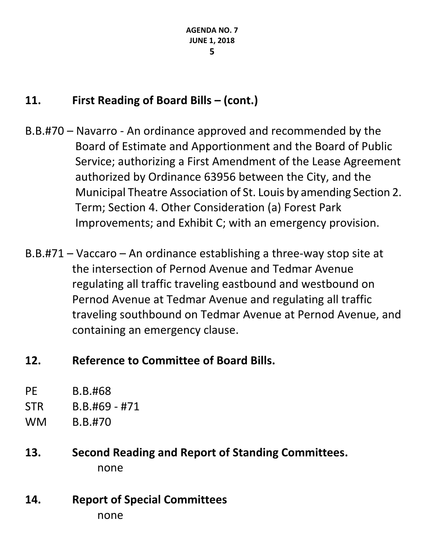# **11. First Reading of Board Bills – (cont.)**

- B.B.#70 Navarro An ordinance approved and recommended by the Board of Estimate and Apportionment and the Board of Public Service; authorizing a First Amendment of the Lease Agreement authorized by Ordinance 63956 between the City, and the Municipal Theatre Association of St. Louis by amending Section 2. Term; Section 4. Other Consideration (a) Forest Park Improvements; and Exhibit C; with an emergency provision.
- B.B.#71 Vaccaro An ordinance establishing a three-way stop site at the intersection of Pernod Avenue and Tedmar Avenue regulating all traffic traveling eastbound and westbound on Pernod Avenue at Tedmar Avenue and regulating all traffic traveling southbound on Tedmar Avenue at Pernod Avenue, and containing an emergency clause.
- **12. Reference to Committee of Board Bills.**
- PE B.B.#68
- STR B.B.#69 #71
- WM B.B.#70
- **13. Second Reading and Report of Standing Committees.** none
- **14. Report of Special Committees** none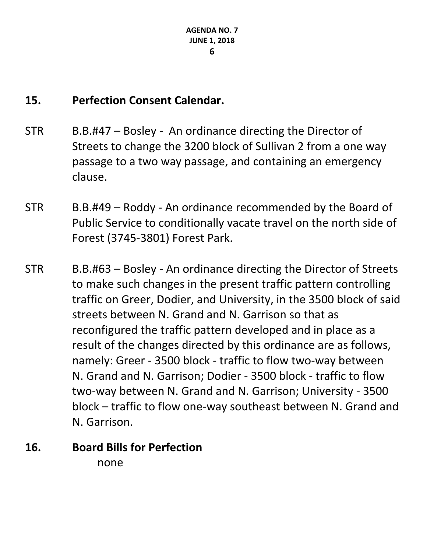#### **15. Perfection Consent Calendar.**

- STR B.B.#47 Bosley An ordinance directing the Director of Streets to change the 3200 block of Sullivan 2 from a one way passage to a two way passage, and containing an emergency clause.
- STR B.B.#49 Roddy An ordinance recommended by the Board of Public Service to conditionally vacate travel on the north side of Forest (3745-3801) Forest Park.
- STR B.B.#63 Bosley An ordinance directing the Director of Streets to make such changes in the present traffic pattern controlling traffic on Greer, Dodier, and University, in the 3500 block of said streets between N. Grand and N. Garrison so that as reconfigured the traffic pattern developed and in place as a result of the changes directed by this ordinance are as follows, namely: Greer - 3500 block - traffic to flow two-way between N. Grand and N. Garrison; Dodier - 3500 block - traffic to flow two-way between N. Grand and N. Garrison; University - 3500 block – traffic to flow one-way southeast between N. Grand and N. Garrison.
- **16. Board Bills for Perfection** none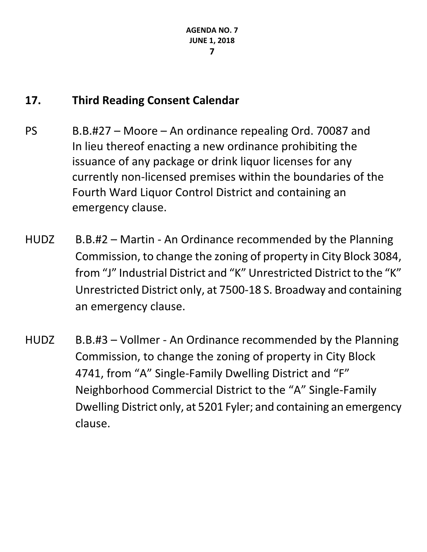### **17. Third Reading Consent Calendar**

- PS B.B.#27 Moore An ordinance repealing Ord. 70087 and In lieu thereof enacting a new ordinance prohibiting the issuance of any package or drink liquor licenses for any currently non-licensed premises within the boundaries of the Fourth Ward Liquor Control District and containing an emergency clause.
- HUDZ B.B.#2 Martin An Ordinance recommended by the Planning Commission, to change the zoning of property in City Block 3084, from "J" Industrial District and "K" Unrestricted District to the "K" Unrestricted District only, at 7500-18 S. Broadway and containing an emergency clause.
- HUDZ B.B.#3 Vollmer An Ordinance recommended by the Planning Commission, to change the zoning of property in City Block 4741, from "A" Single-Family Dwelling District and "F" Neighborhood Commercial District to the "A" Single-Family Dwelling District only, at 5201 Fyler; and containing an emergency clause.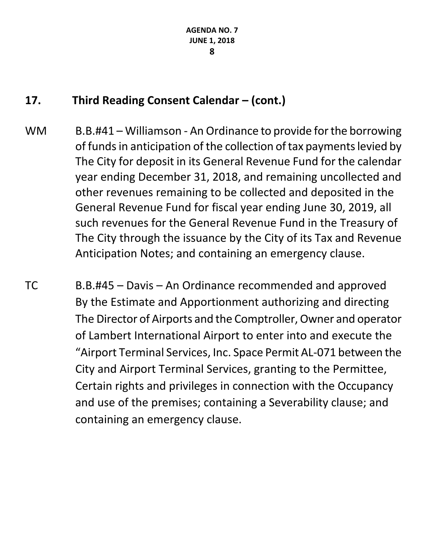## **17. Third Reading Consent Calendar – (cont.)**

- WM B.B.#41 Williamson An Ordinance to provide for the borrowing of funds in anticipation of the collection of tax payments levied by The City for deposit in its General Revenue Fund for the calendar year ending December 31, 2018, and remaining uncollected and other revenues remaining to be collected and deposited in the General Revenue Fund for fiscal year ending June 30, 2019, all such revenues for the General Revenue Fund in the Treasury of The City through the issuance by the City of its Tax and Revenue Anticipation Notes; and containing an emergency clause.
- TC B.B.#45 Davis An Ordinance recommended and approved By the Estimate and Apportionment authorizing and directing The Director of Airports and the Comptroller, Owner and operator of Lambert International Airport to enter into and execute the "Airport Terminal Services, Inc. Space Permit AL-071 between the City and Airport Terminal Services, granting to the Permittee, Certain rights and privileges in connection with the Occupancy and use of the premises; containing a Severability clause; and containing an emergency clause.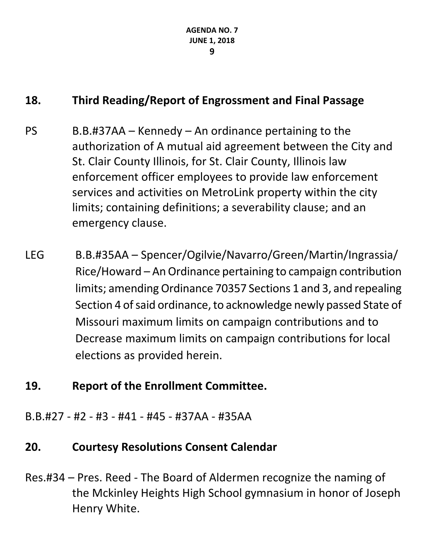## **18. Third Reading/Report of Engrossment and Final Passage**

- $PS$  B.B.#37AA Kennedy An ordinance pertaining to the authorization of A mutual aid agreement between the City and St. Clair County Illinois, for St. Clair County, Illinois law enforcement officer employees to provide law enforcement services and activities on MetroLink property within the city limits; containing definitions; a severability clause; and an emergency clause.
- LEG B.B.#35AA Spencer/Ogilvie/Navarro/Green/Martin/Ingrassia/ Rice/Howard – An Ordinance pertaining to campaign contribution limits; amending Ordinance 70357 Sections 1 and 3, and repealing Section 4 of said ordinance, to acknowledge newly passed State of Missouri maximum limits on campaign contributions and to Decrease maximum limits on campaign contributions for local elections as provided herein.

### **19. Report of the Enrollment Committee.**

B.B.#27 - #2 - #3 - #41 - #45 - #37AA - #35AA

### **20. Courtesy Resolutions Consent Calendar**

Res.#34 – Pres. Reed - The Board of Aldermen recognize the naming of the Mckinley Heights High School gymnasium in honor of Joseph Henry White.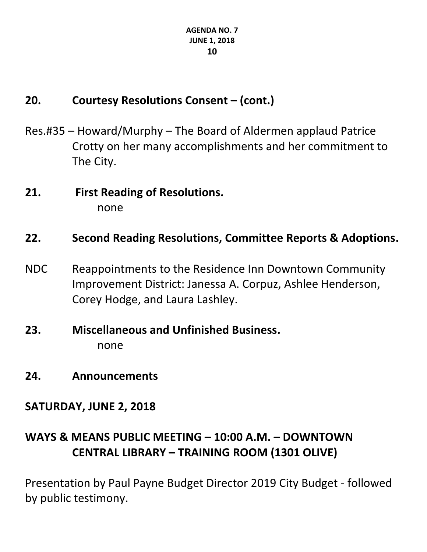# **20. Courtesy Resolutions Consent – (cont.)**

- Res.#35 Howard/Murphy The Board of Aldermen applaud Patrice Crotty on her many accomplishments and her commitment to The City.
- **21. First Reading of Resolutions.** none

#### **22. Second Reading Resolutions, Committee Reports & Adoptions.**

- NDC Reappointments to the Residence Inn Downtown Community Improvement District: Janessa A. Corpuz, Ashlee Henderson, Corey Hodge, and Laura Lashley.
- **23. Miscellaneous and Unfinished Business.** none
- **24. Announcements**

#### **SATURDAY, JUNE 2, 2018**

# **WAYS & MEANS PUBLIC MEETING – 10:00 A.M. – DOWNTOWN CENTRAL LIBRARY – TRAINING ROOM (1301 OLIVE)**

Presentation by Paul Payne Budget Director 2019 City Budget - followed by public testimony.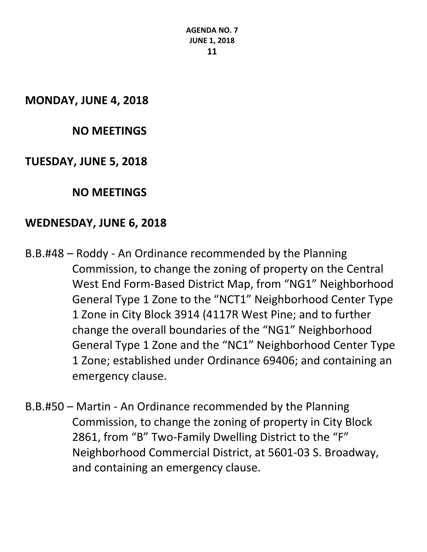**AGENDA NO. 7 JUNE 1, 2018 11**

**MONDAY, JUNE 4, 2018**

#### **NO MEETINGS**

#### **TUESDAY, JUNE 5, 2018**

**NO MEETINGS**

#### **WEDNESDAY, JUNE 6, 2018**

- B.B.#48 Roddy An Ordinance recommended by the Planning Commission, to change the zoning of property on the Central West End Form-Based District Map, from "NG1" Neighborhood General Type 1 Zone to the "NCT1" Neighborhood Center Type 1 Zone in City Block 3914 (4117R West Pine; and to further change the overall boundaries of the "NG1" Neighborhood General Type 1 Zone and the "NC1" Neighborhood Center Type 1 Zone; established under Ordinance 69406; and containing an emergency clause.
- B.B.#50 Martin An Ordinance recommended by the Planning Commission, to change the zoning of property in City Block 2861, from "B" Two-Family Dwelling District to the "F" Neighborhood Commercial District, at 5601-03 S. Broadway, and containing an emergency clause.